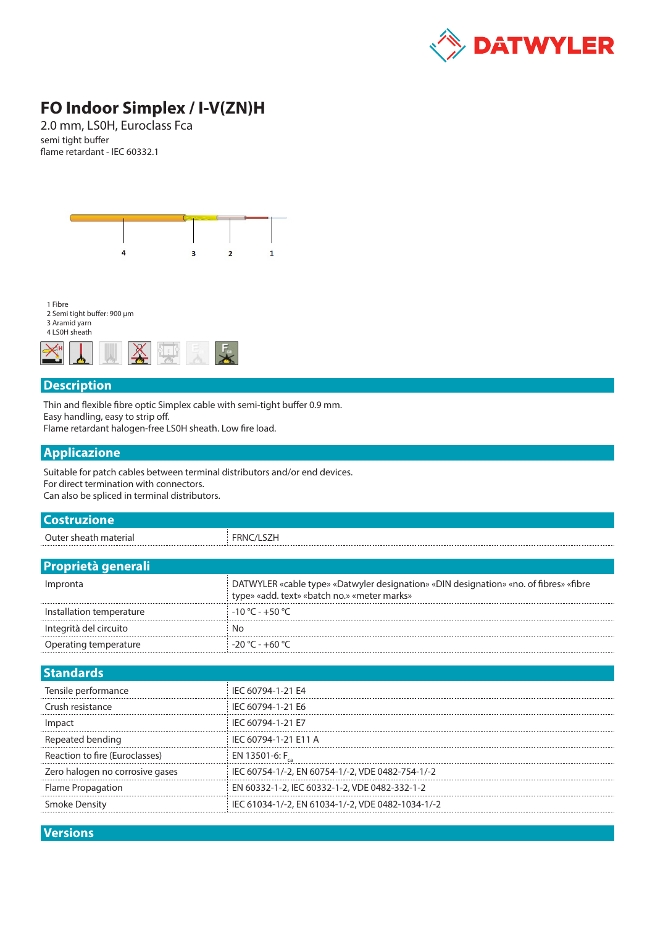

## **FO Indoor Simplex / I-V(ZN)H**

2.0 mm, LS0H, Euroclass Fca semi tight buffer flame retardant - IEC 60332.1



1 Fibre 2 Semi tight buffer: 900 μm

3 Aramid yarn 4 LSOH sheath



## **Description**

Thin and flexible fibre optic Simplex cable with semi-tight buffer 0.9 mm. Easy handling, easy to strip off.

Flame retardant halogen-free LS0H sheath. Low fire load.

## **Applicazione**

Suitable for patch cables between terminal distributors and/or end devices. For direct termination with connectors. Can also be spliced in terminal distributors.

| <b>Costruzione</b>              |                                                                                                                                      |  |  |  |  |  |
|---------------------------------|--------------------------------------------------------------------------------------------------------------------------------------|--|--|--|--|--|
| Outer sheath material           | FRNC/LSZH                                                                                                                            |  |  |  |  |  |
|                                 |                                                                                                                                      |  |  |  |  |  |
| <b>Proprietà generali</b>       |                                                                                                                                      |  |  |  |  |  |
| Impronta                        | DATWYLER «cable type» «Datwyler designation» «DIN designation» «no. of fibres» «fibre<br>type» «add. text» «batch no.» «meter marks» |  |  |  |  |  |
| Installation temperature        | $-10 °C - +50 °C$                                                                                                                    |  |  |  |  |  |
| Integrità del circuito          | No                                                                                                                                   |  |  |  |  |  |
| Operating temperature           | $-20 °C - +60 °C$                                                                                                                    |  |  |  |  |  |
|                                 |                                                                                                                                      |  |  |  |  |  |
| <b>Standards</b>                |                                                                                                                                      |  |  |  |  |  |
| Tensile performance             | IEC 60794-1-21 E4                                                                                                                    |  |  |  |  |  |
| Crush resistance                | IEC 60794-1-21 E6                                                                                                                    |  |  |  |  |  |
| Impact                          | IEC 60794-1-21 E7                                                                                                                    |  |  |  |  |  |
| Repeated bending                | IEC 60794-1-21 E11 A                                                                                                                 |  |  |  |  |  |
| Reaction to fire (Euroclasses)  | EN 13501-6: F                                                                                                                        |  |  |  |  |  |
| Zero halogen no corrosive gases | IEC 60754-1/-2, EN 60754-1/-2, VDE 0482-754-1/-2                                                                                     |  |  |  |  |  |
| Flame Propagation               | EN 60332-1-2, IEC 60332-1-2, VDE 0482-332-1-2                                                                                        |  |  |  |  |  |
| <b>Smoke Density</b>            | IEC 61034-1/-2, EN 61034-1/-2, VDE 0482-1034-1/-2                                                                                    |  |  |  |  |  |

**Versions**